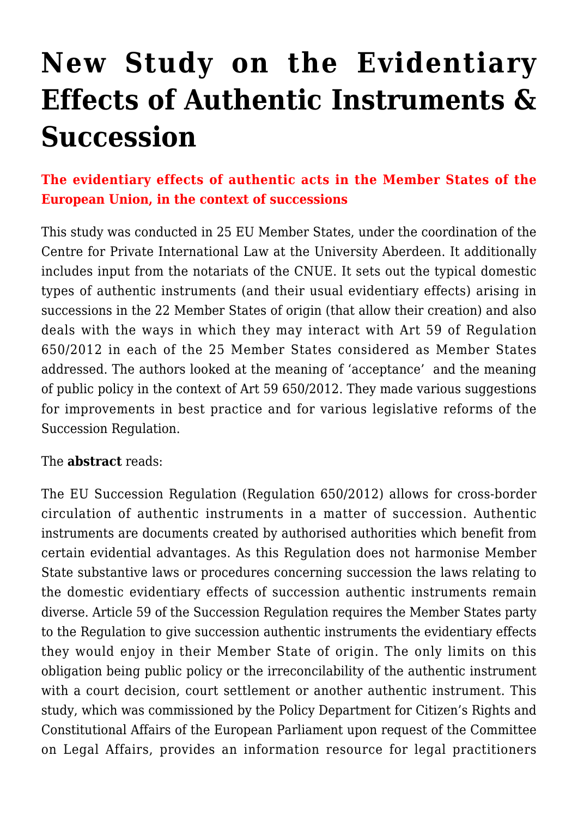## **[New Study on the Evidentiary](https://conflictoflaws.net/2016/new-study-on-the-evidentiary-effects-of-authentic-instruments-succession/) [Effects of Authentic Instruments &](https://conflictoflaws.net/2016/new-study-on-the-evidentiary-effects-of-authentic-instruments-succession/) [Succession](https://conflictoflaws.net/2016/new-study-on-the-evidentiary-effects-of-authentic-instruments-succession/)**

## **The evidentiary effects of authentic acts in the Member States of the European Union, in the context of successions**

This study was conducted in 25 EU Member States, under the coordination of the Centre for Private International Law at the University Aberdeen. It additionally includes input from the notariats of the CNUE. It sets out the typical domestic types of authentic instruments (and their usual evidentiary effects) arising in successions in the 22 Member States of origin (that allow their creation) and also deals with the ways in which they may interact with Art 59 of Regulation 650/2012 in each of the 25 Member States considered as Member States addressed. The authors looked at the meaning of 'acceptance' and the meaning of public policy in the context of Art 59 650/2012. They made various suggestions for improvements in best practice and for various legislative reforms of the Succession Regulation.

## The **abstract** reads:

The EU Succession Regulation (Regulation 650/2012) allows for cross-border circulation of authentic instruments in a matter of succession. Authentic instruments are documents created by authorised authorities which benefit from certain evidential advantages. As this Regulation does not harmonise Member State substantive laws or procedures concerning succession the laws relating to the domestic evidentiary effects of succession authentic instruments remain diverse. Article 59 of the Succession Regulation requires the Member States party to the Regulation to give succession authentic instruments the evidentiary effects they would enjoy in their Member State of origin. The only limits on this obligation being public policy or the irreconcilability of the authentic instrument with a court decision, court settlement or another authentic instrument. This study, which was commissioned by the Policy Department for Citizen's Rights and Constitutional Affairs of the European Parliament upon request of the Committee on Legal Affairs, provides an information resource for legal practitioners